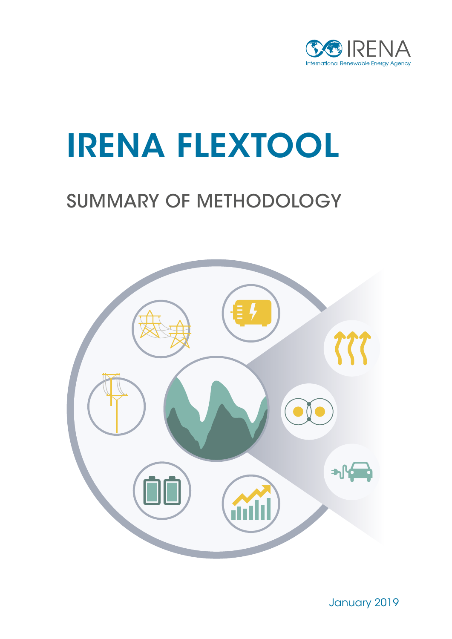

# IRENA FLEXTOOL

## SUMMARY OF METHODOLOGY



January 2019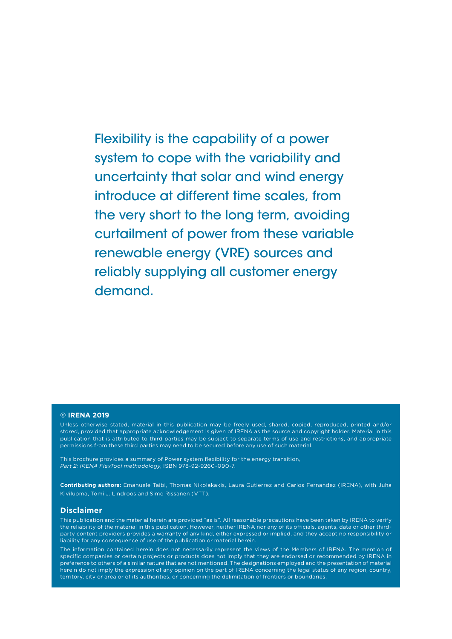Flexibility is the capability of a power system to cope with the variability and uncertainty that solar and wind energy introduce at different time scales, from the very short to the long term, avoiding curtailment of power from these variable renewable energy (VRE) sources and reliably supplying all customer energy demand.

#### **© IRENA 2019**

Unless otherwise stated, material in this publication may be freely used, shared, copied, reproduced, printed and/or stored, provided that appropriate acknowledgement is given of IRENA as the source and copyright holder. Material in this publication that is attributed to third parties may be subject to separate terms of use and restrictions, and appropriate permissions from these third parties may need to be secured before any use of such material.

This brochure provides a summary of Power system flexibility for the energy transition, *Part 2: IRENA FlexTool methodology*, ISBN 978-92-9260-090-7.

**Contributing authors:** Emanuele Taibi, Thomas Nikolakakis, Laura Gutierrez and Carlos Fernandez (IRENA), with Juha Kiviluoma, Tomi J. Lindroos and Simo Rissanen (VTT).

#### **Disclaimer**

This publication and the material herein are provided "as is". All reasonable precautions have been taken by IRENA to verify the reliability of the material in this publication. However, neither IRENA nor any of its officials, agents, data or other thirdparty content providers provides a warranty of any kind, either expressed or implied, and they accept no responsibility or liability for any consequence of use of the publication or material herein.

The information contained herein does not necessarily represent the views of the Members of IRENA. The mention of specific companies or certain projects or products does not imply that they are endorsed or recommended by IRENA in preference to others of a similar nature that are not mentioned. The designations employed and the presentation of material herein do not imply the expression of any opinion on the part of IRENA concerning the legal status of any region, country, territory, city or area or of its authorities, or concerning the delimitation of frontiers or boundaries.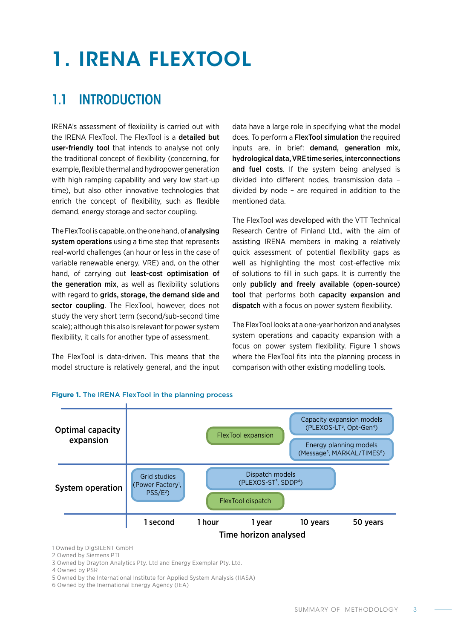# 1. IRENA FLEXTOOL

### 1.1 INTRODUCTION

IRENA's assessment of flexibility is carried out with the IRENA FlexTool. The FlexTool is a detailed but user-friendly tool that intends to analyse not only the traditional concept of flexibility (concerning, for example, flexible thermal and hydropower generation with high ramping capability and very low start-up time), but also other innovative technologies that enrich the concept of flexibility, such as flexible demand, energy storage and sector coupling.

The FlexTool is capable, on the one hand, of analysing system operations using a time step that represents real-world challenges (an hour or less in the case of variable renewable energy, VRE) and, on the other hand, of carrying out least-cost optimisation of the generation mix, as well as flexibility solutions with regard to grids, storage, the demand side and sector coupling. The FlexTool, however, does not study the very short term (second/sub-second time scale); although this also is relevant for power system flexibility, it calls for another type of assessment.

The FlexTool is data-driven. This means that the model structure is relatively general, and the input

data have a large role in specifying what the model does. To perform a FlexTool simulation the required inputs are, in brief: demand, generation mix, hydrological data, VRE time series, interconnections and fuel costs. If the system being analysed is divided into different nodes, transmission data – divided by node – are required in addition to the mentioned data.

The FlexTool was developed with the VTT Technical Research Centre of Finland Ltd., with the aim of assisting IRENA members in making a relatively quick assessment of potential flexibility gaps as well as highlighting the most cost-effective mix of solutions to fill in such gaps. It is currently the only publicly and freely available (open-source) tool that performs both capacity expansion and dispatch with a focus on power system flexibility.

The FlexTool looks at a one-year horizon and analyses system operations and capacity expansion with a focus on power system flexibility. Figure 1 shows where the FlexTool fits into the planning process in comparison with other existing modelling tools.



#### **Figure 1.** The IRENA FlexTool in the planning process

1 Owned by DlgSILENT GmbH

2 Owned by Siemens PTI

3 Owned by Drayton Analytics Pty. Ltd and Energy Exemplar Pty. Ltd.

4 Owned by PSR

5 Owned by the International Institute for Applied System Analysis (IIASA)

6 Owned by the Inernational Energy Agency (IEA)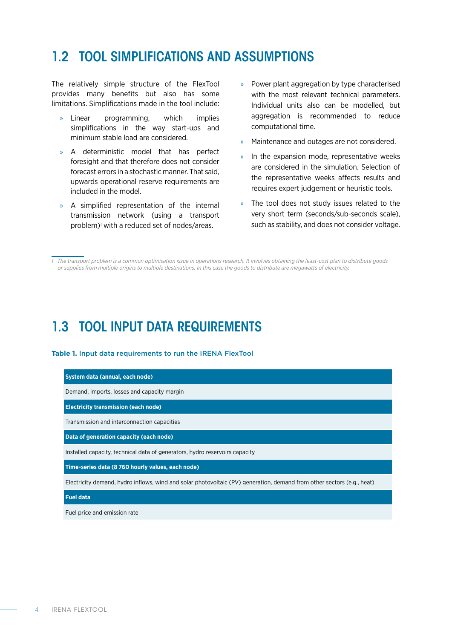### 1.2 TOOL SIMPLIFICATIONS AND ASSUMPTIONS

The relatively simple structure of the FlexTool provides many benefits but also has some limitations. Simplifications made in the tool include:

- » Linear programming, which implies simplifications in the way start-ups and minimum stable load are considered.
- » A deterministic model that has perfect foresight and that therefore does not consider forecast errors in a stochastic manner. That said, upwards operational reserve requirements are included in the model.
- » A simplified representation of the internal transmission network (using a transport problem)<sup>1</sup> with a reduced set of nodes/areas.
- » Power plant aggregation by type characterised with the most relevant technical parameters. Individual units also can be modelled, but aggregation is recommended to reduce computational time.
- » Maintenance and outages are not considered.
- In the expansion mode, representative weeks are considered in the simulation. Selection of the representative weeks affects results and requires expert judgement or heuristic tools.
- » The tool does not study issues related to the very short term (seconds/sub-seconds scale), such as stability, and does not consider voltage.

### 1.3 TOOL INPUT DATA REQUIREMENTS

#### **Table 1.** Input data requirements to run the IRENA FlexTool

#### **System data (annual, each node)**

Demand, imports, losses and capacity margin

**Electricity transmission (each node)**

Transmission and interconnection capacities

**Data of generation capacity (each node)**

Installed capacity, technical data of generators, hydro reservoirs capacity

**Time-series data (8 760 hourly values, each node)**

Electricity demand, hydro inflows, wind and solar photovoltaic (PV) generation, demand from other sectors (e.g., heat)

#### **Fuel data**

Fuel price and emission rate

*<sup>1</sup> The transport problem is a common optimisation issue in operations research. It involves obtaining the least-cost plan to distribute goods or supplies from multiple origins to multiple destinations. In this case the goods to distribute are megawatts of electricity.*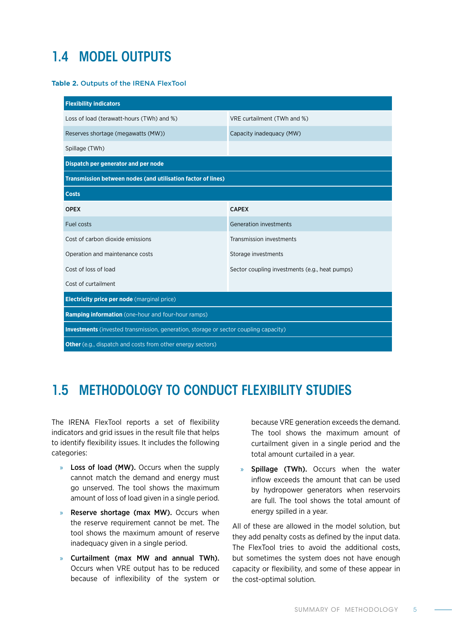### 1.4 MODEL OUTPUTS

#### **Table 2.** Outputs of the IRENA FlexTool

| <b>Flexibility indicators</b>                                                        |                                                |  |
|--------------------------------------------------------------------------------------|------------------------------------------------|--|
| Loss of load (terawatt-hours (TWh) and %)<br>VRE curtailment (TWh and %)             |                                                |  |
| Reserves shortage (megawatts (MW))                                                   | Capacity inadequacy (MW)                       |  |
| Spillage (TWh)                                                                       |                                                |  |
| Dispatch per generator and per node                                                  |                                                |  |
| <b>Transmission between nodes (and utilisation factor of lines)</b>                  |                                                |  |
| <b>Costs</b>                                                                         |                                                |  |
| <b>OPEX</b>                                                                          | <b>CAPEX</b>                                   |  |
| <b>Fuel costs</b>                                                                    | <b>Generation investments</b>                  |  |
| Cost of carbon dioxide emissions                                                     | Transmission investments                       |  |
| Operation and maintenance costs                                                      | Storage investments                            |  |
| Cost of loss of load                                                                 | Sector coupling investments (e.g., heat pumps) |  |
| Cost of curtailment                                                                  |                                                |  |
| <b>Electricity price per node</b> (marginal price)                                   |                                                |  |
| <b>Ramping information</b> (one-hour and four-hour ramps)                            |                                                |  |
| Investments (invested transmission, generation, storage or sector coupling capacity) |                                                |  |
| <b>Other</b> (e.g., dispatch and costs from other energy sectors)                    |                                                |  |

### 1.5 METHODOLOGY TO CONDUCT FLEXIBILITY STUDIES

The IRENA FlexTool reports a set of flexibility indicators and grid issues in the result file that helps to identify flexibility issues. It includes the following categories:

- » Loss of load (MW). Occurs when the supply cannot match the demand and energy must go unserved. The tool shows the maximum amount of loss of load given in a single period.
- » Reserve shortage (max MW). Occurs when the reserve requirement cannot be met. The tool shows the maximum amount of reserve inadequacy given in a single period.
- » Curtailment (max MW and annual TWh). Occurs when VRE output has to be reduced because of inflexibility of the system or

because VRE generation exceeds the demand. The tool shows the maximum amount of curtailment given in a single period and the total amount curtailed in a year.

» Spillage (TWh). Occurs when the water inflow exceeds the amount that can be used by hydropower generators when reservoirs are full. The tool shows the total amount of energy spilled in a year.

All of these are allowed in the model solution, but they add penalty costs as defined by the input data. The FlexTool tries to avoid the additional costs, but sometimes the system does not have enough capacity or flexibility, and some of these appear in the cost-optimal solution.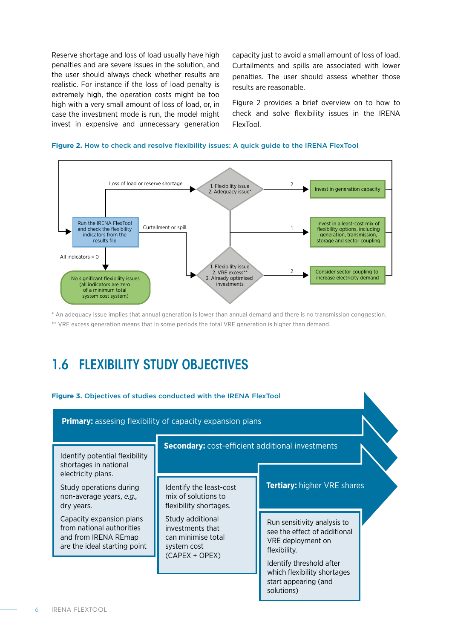Reserve shortage and loss of load usually have high penalties and are severe issues in the solution, and the user should always check whether results are realistic. For instance if the loss of load penalty is extremely high, the operation costs might be too high with a very small amount of loss of load, or, in case the investment mode is run, the model might invest in expensive and unnecessary generation capacity just to avoid a small amount of loss of load. Curtailments and spills are associated with lower penalties. The user should assess whether those results are reasonable.

Figure 2 provides a brief overview on to how to check and solve flexibility issues in the IRENA FlexTool.



#### **Figure 2.** How to check and resolve flexibility issues: A quick guide to the IRENA FlexTool

\* An adequacy issue implies that annual generation is lower than annual demand and there is no transmission conggestion. \*\* VRE excess generation means that in some periods the total VRE generation is higher than demand.

### 1.6 FLEXIBILITY STUDY OBJECTIVES

#### **Figure 3.** Objectives of studies conducted with the IRENA FlexTool

Run sensitivity analysis to see the effect of additional VRE deployment on flexibility. Identify threshold after which flexibility shortages start appearing (and **Primary:** assesing flexibility of capacity expansion plans **Secondary:** cost-efficient additional investments **Tertiary:** higher VRE shares Identify potential flexibility shortages in national electricity plans. Study operations during non-average years, *e.g.,*  dry years. Capacity expansion plans from national authorities and from IRENA REmap are the ideal starting point Identify the least-cost mix of solutions to flexibility shortages. Study additional investments that can minimise total system cost (CAPEX + OPEX)

solutions)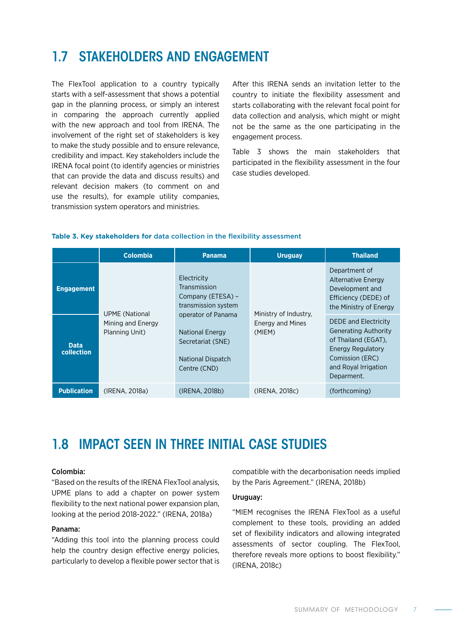### 1.7 STAKEHOLDERS AND ENGAGEMENT

The FlexTool application to a country typically starts with a self-assessment that shows a potential gap in the planning process, or simply an interest in comparing the approach currently applied with the new approach and tool from IRENA. The involvement of the right set of stakeholders is key to make the study possible and to ensure relevance, credibility and impact. Key stakeholders include the IRENA focal point (to identify agencies or ministries that can provide the data and discuss results) and relevant decision makers (to comment on and use the results), for example utility companies, transmission system operators and ministries.

After this IRENA sends an invitation letter to the country to initiate the flexibility assessment and starts collaborating with the relevant focal point for data collection and analysis, which might or might not be the same as the one participating in the engagement process.

Table 3 shows the main stakeholders that participated in the flexibility assessment in the four case studies developed.

#### **Table 3. Key stakeholders for** data collection in the flexibility assessment

|                           | <b>Colombia</b>                                              | <b>Panama</b>                                                                                          | <b>Uruguay</b>                                             | <b>Thailand</b>                                                                                                                                                 |
|---------------------------|--------------------------------------------------------------|--------------------------------------------------------------------------------------------------------|------------------------------------------------------------|-----------------------------------------------------------------------------------------------------------------------------------------------------------------|
| <b>Engagement</b>         | <b>UPME</b> (National<br>Mining and Energy<br>Planning Unit) | Electricity<br>Transmission<br>Company (ETESA) -<br>transmission system                                | Ministry of Industry,<br><b>Energy and Mines</b><br>(MIEM) | Department of<br>Alternative Energy<br>Development and<br>Efficiency (DEDE) of<br>the Ministry of Energy                                                        |
| <b>Data</b><br>collection |                                                              | operator of Panama<br><b>National Energy</b><br>Secretariat (SNE)<br>National Dispatch<br>Centre (CND) |                                                            | <b>DEDE and Electricity</b><br><b>Generating Authority</b><br>of Thailand (EGAT),<br>Energy Regulatory<br>Comission (ERC)<br>and Royal Irrigation<br>Deparment. |
| <b>Publication</b>        | (IRENA, 2018a)                                               | (IRENA, 2018b)                                                                                         | (IRENA, 2018c)                                             | (forthcoming)                                                                                                                                                   |

### 1.8 IMPACT SEEN IN THREE INITIAL CASE STUDIES

#### Colombia:

"Based on the results of the IRENA FlexTool analysis, UPME plans to add a chapter on power system flexibility to the next national power expansion plan, looking at the period 2018-2022." (IRENA, 2018a)

#### Panama:

"Adding this tool into the planning process could help the country design effective energy policies, particularly to develop a flexible power sector that is

compatible with the decarbonisation needs implied by the Paris Agreement." (IRENA, 2018b)

#### Uruguay:

"MIEM recognises the IRENA FlexTool as a useful complement to these tools, providing an added set of flexibility indicators and allowing integrated assessments of sector coupling. The FlexTool, therefore reveals more options to boost flexibility." (IRENA, 2018c)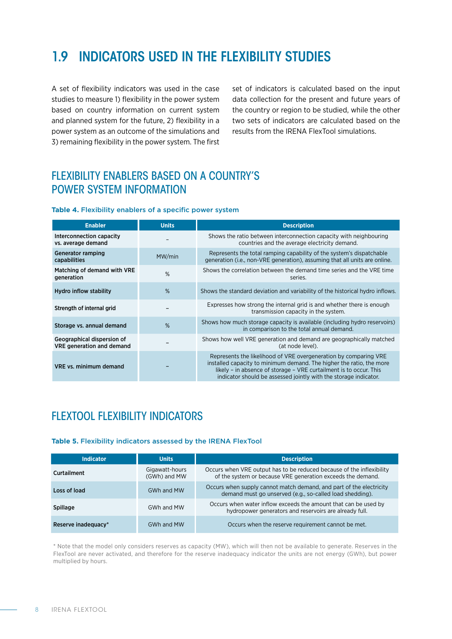### 1.9 INDICATORS USED IN THE FLEXIBILITY STUDIES

A set of flexibility indicators was used in the case studies to measure 1) flexibility in the power system based on country information on current system and planned system for the future, 2) flexibility in a power system as an outcome of the simulations and 3) remaining flexibility in the power system. The first

set of indicators is calculated based on the input data collection for the present and future years of the country or region to be studied, while the other two sets of indicators are calculated based on the results from the IRENA FlexTool simulations.

### FLEXIBILITY ENABLERS BASED ON A COUNTRY'S POWER SYSTEM INFORMATION

#### **Table 4.** Flexibility enablers of a specific power system

| <b>Enabler</b>                                                 | <b>Units</b> | <b>Description</b>                                                                                                                                                                                                                                                                 |
|----------------------------------------------------------------|--------------|------------------------------------------------------------------------------------------------------------------------------------------------------------------------------------------------------------------------------------------------------------------------------------|
| Interconnection capacity<br>vs. average demand                 |              | Shows the ratio between interconnection capacity with neighbouring<br>countries and the average electricity demand.                                                                                                                                                                |
| <b>Generator ramping</b><br>capabilities                       | MW/min       | Represents the total ramping capability of the system's dispatchable<br>generation (i.e., non-VRE generation), assuming that all units are online.                                                                                                                                 |
| Matching of demand with VRE<br>generation                      | %            | Shows the correlation between the demand time series and the VRE time<br>series.                                                                                                                                                                                                   |
| Hydro inflow stability                                         | %            | Shows the standard deviation and variability of the historical hydro inflows.                                                                                                                                                                                                      |
| Strength of internal grid                                      |              | Expresses how strong the internal grid is and whether there is enough<br>transmission capacity in the system.                                                                                                                                                                      |
| Storage vs. annual demand                                      | %            | Shows how much storage capacity is available (including hydro reservoirs)<br>in comparison to the total annual demand.                                                                                                                                                             |
| Geographical dispersion of<br><b>VRE</b> generation and demand |              | Shows how well VRE generation and demand are geographically matched<br>(at node level).                                                                                                                                                                                            |
| <b>VRE vs. minimum demand</b>                                  |              | Represents the likelihood of VRE overgeneration by comparing VRE<br>installed capacity to minimum demand. The higher the ratio, the more<br>likely - in absence of storage - VRE curtailment is to occur. This<br>indicator should be assessed jointly with the storage indicator. |

### FLEXTOOL FLEXIBILITY INDICATORS

#### **Table 5.** Flexibility indicators assessed by the IRENA FlexTool

| <b>Indicator</b>    | <b>Units</b>                   | <b>Description</b>                                                                                                                   |
|---------------------|--------------------------------|--------------------------------------------------------------------------------------------------------------------------------------|
| <b>Curtailment</b>  | Gigawatt-hours<br>(GWh) and MW | Occurs when VRE output has to be reduced because of the inflexibility<br>of the system or because VRE generation exceeds the demand. |
| Loss of load        | GWh and MW                     | Occurs when supply cannot match demand, and part of the electricity<br>demand must go unserved (e.g., so-called load shedding).      |
| <b>Spillage</b>     | GWh and MW                     | Occurs when water inflow exceeds the amount that can be used by<br>hydropower generators and reservoirs are already full.            |
| Reserve inadequacy* | GWh and MW                     | Occurs when the reserve requirement cannot be met.                                                                                   |

\* Note that the model only considers reserves as capacity (MW), which will then not be available to generate. Reserves in the FlexTool are never activated, and therefore for the reserve inadequacy indicator the units are not energy (GWh), but power multiplied by hours.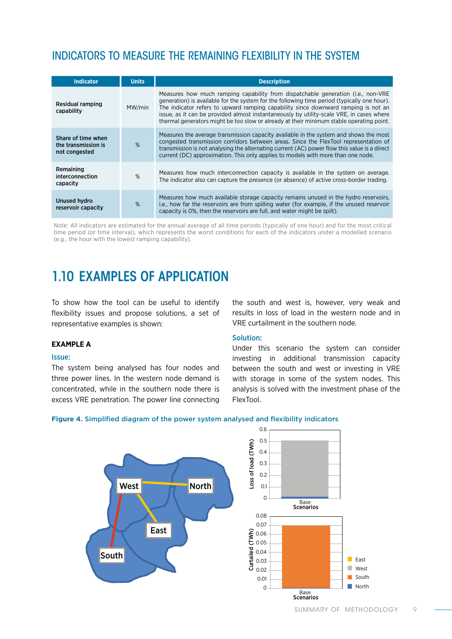### INDICATORS TO MEASURE THE REMAINING FLEXIBILITY IN THE SYSTEM

| <b>Indicator</b>                                           | <b>Units</b> | <b>Description</b>                                                                                                                                                                                                                                                                                                                                                                                                                                            |
|------------------------------------------------------------|--------------|---------------------------------------------------------------------------------------------------------------------------------------------------------------------------------------------------------------------------------------------------------------------------------------------------------------------------------------------------------------------------------------------------------------------------------------------------------------|
| Residual ramping<br>capability                             | MW/min       | Measures how much ramping capability from dispatchable generation (i.e., non-VRE<br>generation) is available for the system for the following time period (typically one hour).<br>The indicator refers to upward ramping capability since downward ramping is not an<br>issue, as it can be provided almost instantaneously by utility-scale VRE, in cases where<br>thermal generators might be too slow or already at their minimum stable operating point. |
| Share of time when<br>the transmission is<br>not congested | %            | Measures the average transmission capacity available in the system and shows the most<br>congested transmission corridors between areas. Since the FlexTool representation of<br>transmission is not analysing the alternating current (AC) power flow this value is a direct<br>current (DC) approximation. This only applies to models with more than one node.                                                                                             |
| Remaining<br>interconnection<br>capacity                   | $\%$         | Measures how much interconnection capacity is available in the system on average.<br>The indicator also can capture the presence (or absence) of active cross-border trading.                                                                                                                                                                                                                                                                                 |
| Unused hydro<br>reservoir capacity                         | %            | Measures how much available storage capacity remains unused in the hydro reservoirs,<br>i.e., how far the reservoirs are from spilling water (for example, if the unused reservoir<br>capacity is 0%, then the reservoirs are full, and water might be spilt).                                                                                                                                                                                                |

Note: All indicators are estimated for the annual average of all time periods (typically of one hour) and for the most critical time period (or time interval), which represents the worst conditions for each of the indicators under a modelled scenario (e.g., the hour with the lowest ramping capability).

### 1.10 EXAMPLES OF APPLICATION

To show how the tool can be useful to identify flexibility issues and propose solutions, a set of representative examples is shown:

#### **EXAMPLE A**

#### Issue:

The system being analysed has four nodes and three power lines. In the western node demand is concentrated, while in the southern node there is excess VRE penetration. The power line connecting the south and west is, however, very weak and results in loss of load in the western node and in VRE curtailment in the southern node.

#### Solution:

Under this scenario the system can consider investing in additional transmission capacity between the south and west or investing in VRE with storage in some of the system nodes. This analysis is solved with the investment phase of the FlexTool.

#### **Figure 4.** Simplified diagram of the power system analysed and flexibility indicators



**East** West South North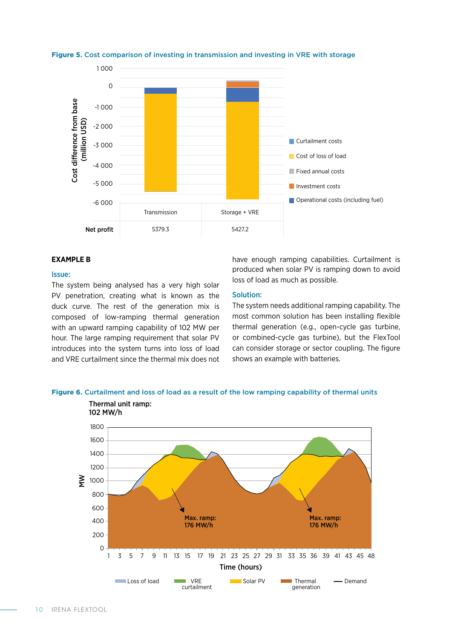

**Figure 5.** Cost comparison of investing in transmission and investing in VRE with storage

#### **EXAMPLE B**

#### Issue:

The system being analysed has a very high solar PV penetration, creating what is known as the duck curve. The rest of the generation mix is composed of low-ramping thermal generation with an upward ramping capability of 102 MW per hour. The large ramping requirement that solar PV introduces into the system turns into loss of load and VRE curtailment since the thermal mix does not

have enough ramping capabilities. Curtailment is produced when solar PV is ramping down to avoid loss of load as much as possible.

#### Solution:

The system needs additional ramping capability. The most common solution has been installing flexible thermal generation (e.g., open-cycle gas turbine, or combined-cycle gas turbine), but the FlexTool can consider storage or sector coupling. The figure shows an example with batteries.



**Figure 6.** Curtailment and loss of load as a result of the low ramping capability of thermal units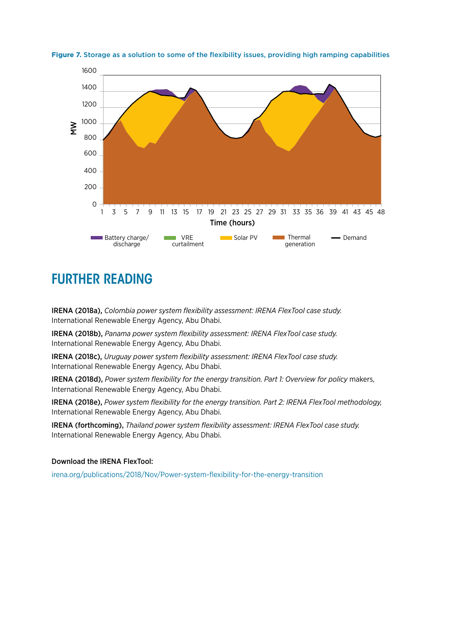



### FURTHER READING

IRENA (2018a), *Colombia power system flexibility assessment: IRENA FlexTool case study.* International Renewable Energy Agency, Abu Dhabi.

IRENA (2018b), *Panama power system flexibility assessment: IRENA FlexTool case study.* International Renewable Energy Agency, Abu Dhabi.

IRENA (2018c), *Uruguay power system flexibility assessment: IRENA FlexTool case study.* International Renewable Energy Agency, Abu Dhabi.

IRENA (2018d), *Power system flexibility for the energy transition. Part 1: Overview for policy* makers, International Renewable Energy Agency, Abu Dhabi.

IRENA (2018e), *Power system flexibility for the energy transition. Part 2: IRENA FlexTool methodology,* International Renewable Energy Agency, Abu Dhabi.

IRENA (forthcoming), *Thailand power system flexibility assessment: IRENA FlexTool case study.* International Renewable Energy Agency, Abu Dhabi.

#### Download the IRENA FlexTool:

irena.org/publications/2018/Nov/Power-system-flexibility-for-the-energy-transition